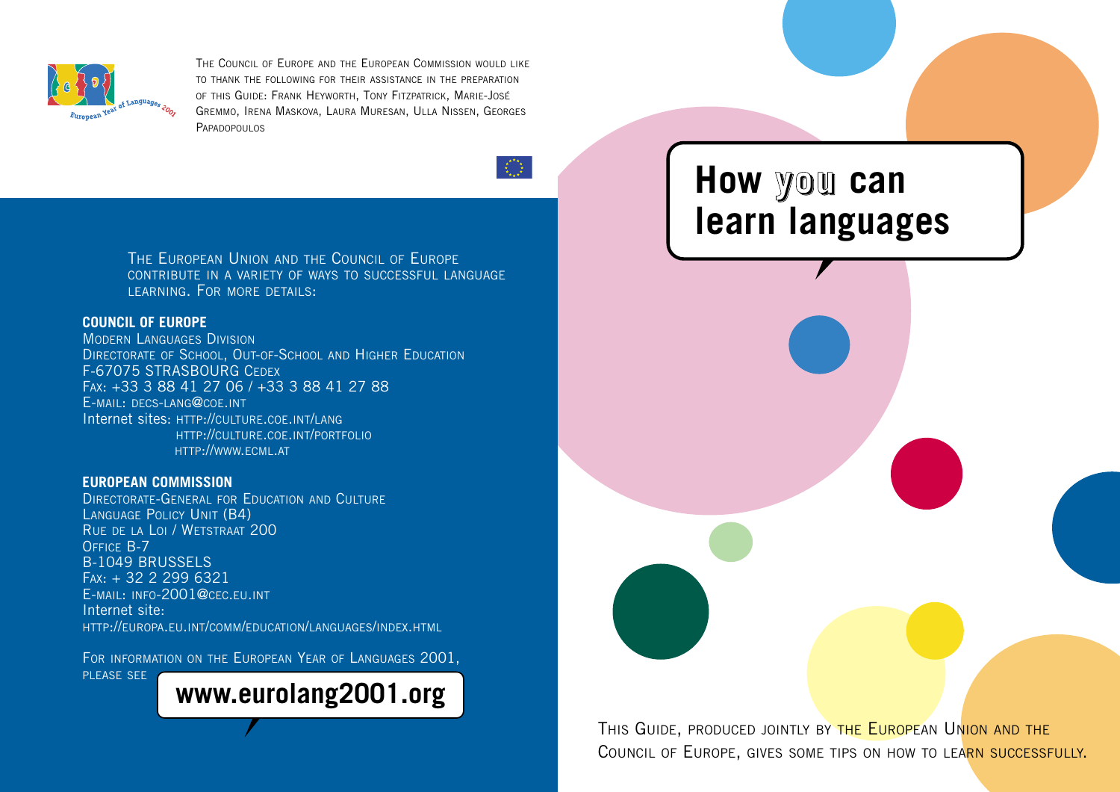

THE COUNCIL OF EUROPE AND THE EUROPEAN COMMISSION WOULD LIKE TO THANK THE FOLLOWING FOR THEIR ASSISTANCE IN THE PREPARATION OF THIS GUIDE: FRANK HEYWORTH, TONY FITZPATRICK, MARIE-JOSÉ GREMMO, IRENA MASKOVA, LAURA MURESAN, ULLA NISSEN, GEORGES PAPADOPOLILOS

 $=\frac{\pi}{2} \sum_{k=1}^{N} \frac{1}{N} \sum_{k=1}^{N}$ 

THE EUROPEAN UNION AND THE COUNCIL OF EUROPE CONTRIBUTE IN A VARIETY OF WAYS TO SUCCESSFUL LANGUAGE LEARNING. FOR MORE DETAILS:

### **COUNCIL OF EUROPE**

MODERN LANGUAGES DIVISION DIRECTORATE OF SCHOOL, OUT-OF-SCHOOL AND HIGHER EDUCATION F-67075 STRASBOURG CEDEX FAX: +33 3 88 41 27 06 / +33 3 88 41 27 88 E-MAIL: DECS-LANG@COE.INT Internet sites: HTTP://CULTURE.COE.INT/LANG HTTP://CULTURE.COE.INT/PORTFOLIO HTTP://WWW.ECML.AT

### **EUROPEAN COMMISSION**

DIRECTORATE-GENERAL FOR EDUCATION AND CULTURE LANGUAGE POLICY UNIT (B4) RUE DE LA LOI / WETSTRAAT 200 OFFICE B-7 B-1049 BRUSSELS FAX: + 32 2 299 6321 E-MAIL: INFO-2001@CEC.EU.INT Internet site: HTTP://EUROPA.EU.INT/COMM/EDUCATION/LANGUAGES/INDEX.HTML

FOR INFORMATION ON THE EUROPEAN YEAR OF LANGUAGES 2001,

PLEASE SEE

**www.eurolang2001.org**

## **How you can learn languages**

THIS GUIDE, PRODUCED JOINTLY BY THE EUROPEAN UNION AND THE COUNCIL OF EUROPE, GIVES SOME TIPS ON HOW TO LEARN SUCCESSFULLY.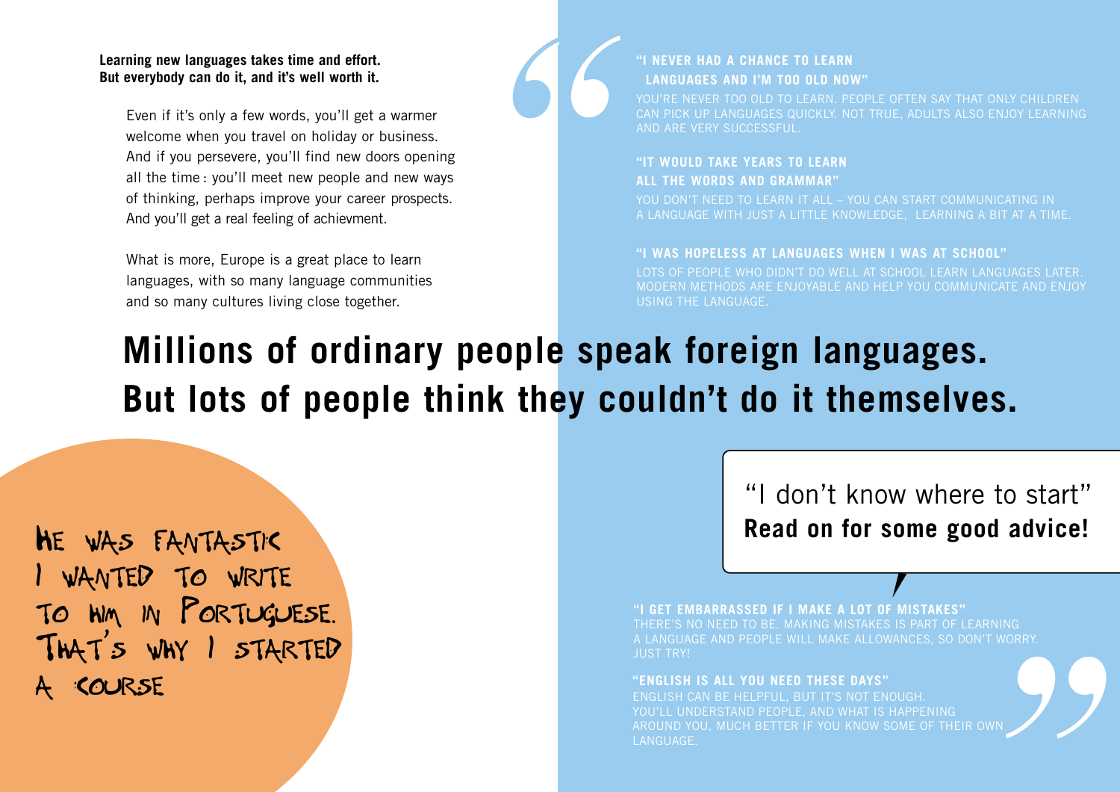### **Learning new languages takes time and effort. But everybody can do it, and it's well worth it.**

Even if it's only a few words, you'll get a warmer welcome when you travel on holiday or business. And if you persevere, you'll find new doors opening all the time : you'll meet new people and new ways of thinking, perhaps improve your career prospects. And you'll get a real feeling of achievment.

What is more, Europe is a great place to learn languages, with so many language communities and so many cultures living close together.



## **"I NEVER HAD A CHANCE TO LEARN LANGUAGES AND I'M TOO OLD NOW"**

YOU'RE NEVER TOO OLD TO LEARN. PEOPLE OFTEN SAY THAT ONLY CHILDREN CAN PICK UP LANGUAGES QUICKLY. NOT TRUE, ADULTS ALSO ENJOY LEARNING AND ARE VERY SUCCESSFUL.

## **"IT WOULD TAKE YEARS TO LEARN ALL THE WORDS AND GRAMMAR"**

YOU DON'T NEED TO LEARN IT ALL - YOU CAN START COMMUNICATING IN A LANGUAGE WITH JUST A LITTLE KNOWLEDGE, LEARNING A BIT AT A TIME.

### **"I WAS HOPELESS AT LANGUAGES WHEN I WAS AT SCHOOL"**

LOTS OF PEOPLE WHO DIDN'T DO WELL AT SCHOOL LEARN LANGUAGES LATER. MODERN METHODS ARE ENJOYABLE AND HELP YOU COMMUNICATE AND ENJOY USING THE LANGUAGE.

# **Millions of ordinary people speak foreign languages. But lots of people think they couldn't do it themselves.**

HE WAS FANTASTIC WANTED TO WRITE TO HIM IN PORTUGUESE. THAT ' <sup>S</sup> WHY I STARTED **COURSE** 

"I don't know where to start" **Read on for some good advice!**

**"I GET EMBARRASSED IF I MAKE A LOT OF MISTAKES"**

*"* THERE'S NO NEED TO BE. MAKING MISTAKES IS PART OF LEARNING A LANGUAGE AND PEOPLE WILL MAKE ALLOWANCES, SO DON'T WORRY.

#### **"ENGLISH IS ALL YOU NEED THESE DAYS"**

ENGLISH CAN BE HELPFUL, BUT IT'S NOT ENOUGH. YOU'LL UNDERSTAND PEOPLE, AND WHAT IS HAPPENING AROUND YOU, MUCH BETTER IF YOU KNOW SOME OF THEIR OWN LANGUAGE.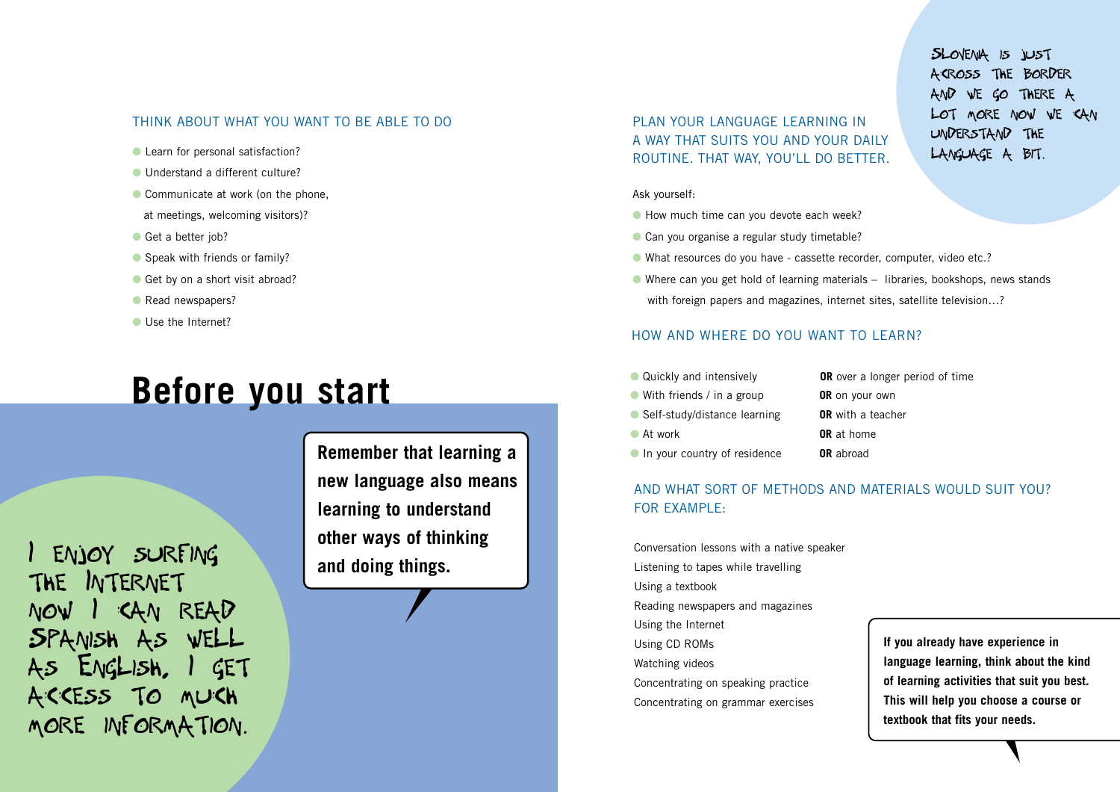#### THINK ABOUT WHAT YOU WANT TO BE ABLE TO DO

- Learn for personal satisfaction?
- Understand a different culture?
- Communicate at work (on the phone,
- at meetings, welcoming visitors)?
- Get a better job?
- Speak with friends or family?
- Get by on a short visit abroad?
- Read newspapers?
- Use the Internet?

## **Before you start**

I ENJOY SURFING THE INTERNET I CAN READ SPANISH AS WEll ENGLISH, I GET ACCESS TO MUCH MORE INFORMATION.

**Remember that learning a new language also means learning to understand other ways of thinking and doing things.**

PLAN YOUR LANGUAGE LEARNING IN A WAY THAT SUITS YOU AND YOUR DAILY ROUTINE. THAT WAY, YOU'LL DO BETTER.

#### Ask yourself:

- How much time can you devote each week?
- Can you organise a regular study timetable?
- What resources do you have cassette recorder, computer, video etc.?
- Where can you get hold of learning materials libraries, bookshops, news stands with foreign papers and magazines, internet sites, satellite television...?

### HOW AND WHERE DO YOU WANT TO LEARN?

- Quickly and intensively **OR** over a longer period of time
- With friends / in a group **OR** on your own
- Self-study/distance learning **OR** with a teacher
- 
- **In your country of residence OR** abroad
- **C** At work **OR** at home

## AND WHAT SORT OF METHODS AND MATERIALS WOULD SUIT YOU? FOR EXAMPLE:

Conversation lessons with a native speaker Listening to tapes while travelling Using a textbook Reading newspapers and magazines Using the Internet Using CD ROMs Watching videos Concentrating on speaking practice Concentrating on grammar exercises

**If you already have experience in language learning, think about the kind of learning activities that suit you best. This will help you choose a course or textbook that fits your needs.**

SLOVENIA IS JUST ACROSS THE BORDER AND WE GO THERE A lOT MORE NOW WE CAN UNDERSTAND THE lANGUAGE A BIT.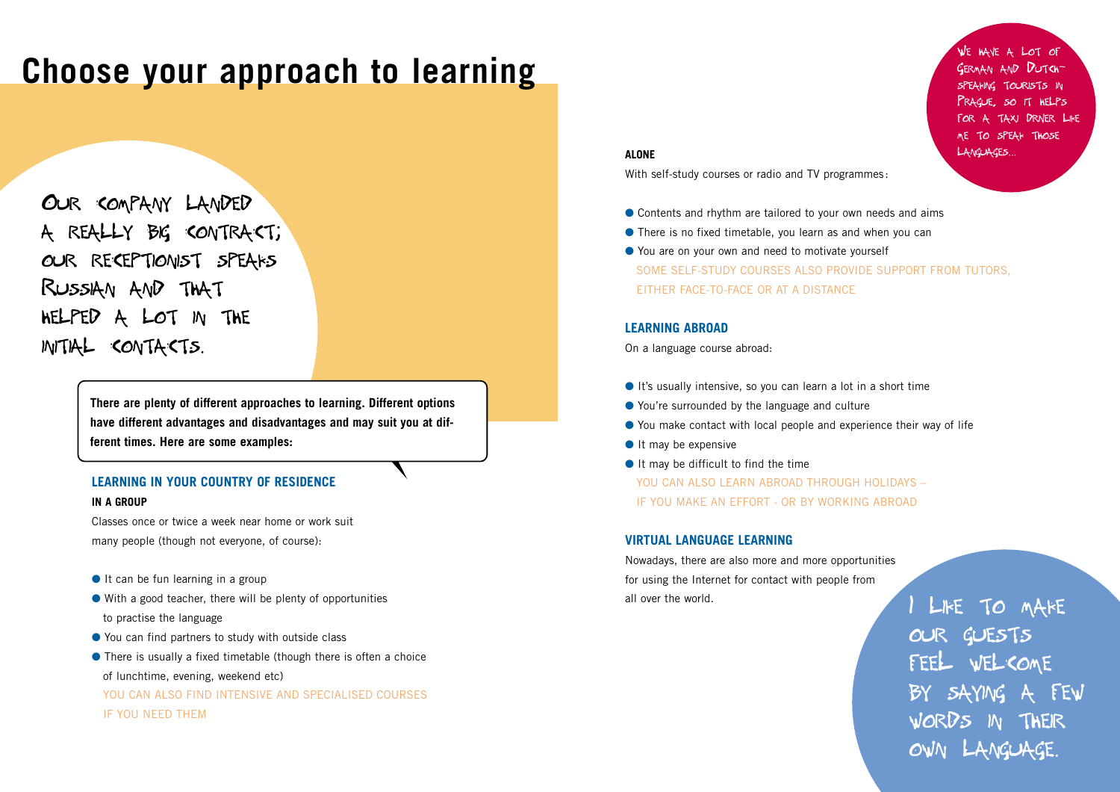## **Choose your approach to learning**

OUR COMPANY lANDED A REAllY BIG CONTRACT; OUR RECEPTIONIST SPEAKS RUSSIAN AND THAT HElPED A lOT IN THE INITIAl CONTACTS.

> **There are plenty of different approaches to learning. Different options have different advantages and disadvantages and may suit you at different times. Here are some examples:**

#### **LEARNING IN YOUR COUNTRY OF RESIDENCE**

#### **IN A GROUP**

Classes once or twice a week near home or work suit many people (though not everyone, of course):

- It can be fun learning in a group
- $\bullet$  With a good teacher, there will be plenty of opportunities to practise the language
- You can find partners to study with outside class
- There is usually a fixed timetable (though there is often a choice

of lunchtime, evening, weekend etc)

YOU CAN ALSO FIND INTENSIVE AND SPECIALISED COURSES

IF YOU NEED THEM

#### **ALONE**

With self-study courses or radio and TV programmes:

- Contents and rhythm are tailored to your own needs and aims
- There is no fixed timetable, you learn as and when you can
- You are on your own and need to motivate yourself SOME SELF-STUDY COURSES ALSO PROVIDE SUPPORT FROM TUTORS, EITHER FACE-TO-FACE OR AT A DISTANCE

#### **LEARNING ABROAD**

On a language course abroad:

- It's usually intensive, so you can learn a lot in a short time
- You're surrounded by the language and culture
- You make contact with local people and experience their way of life
- It may be expensive
- It may be difficult to find the time
- YOU CAN ALSO LEARN ABROAD THROUGH HOLIDAYS -IF YOU MAKE AN EFFORT - OR BY WORKING ABROAD

#### **VIRTUAL LANGUAGE LEARNING**

Nowadays, there are also more and more opportunities for using the Internet for contact with people from all over the world.

LIKE TO MAKE OUR GUESTS FEEL WELCOME BY SAYING A FEW WORDS IN THEIR OWN lANGUAGE.

WE HAVE A lOT OF GERMAN AND DUTCH-TOURISTS IN SO IT HELPS TAXI DRIVER LIKE ME TO SPEAK THOSE lANGUAGES...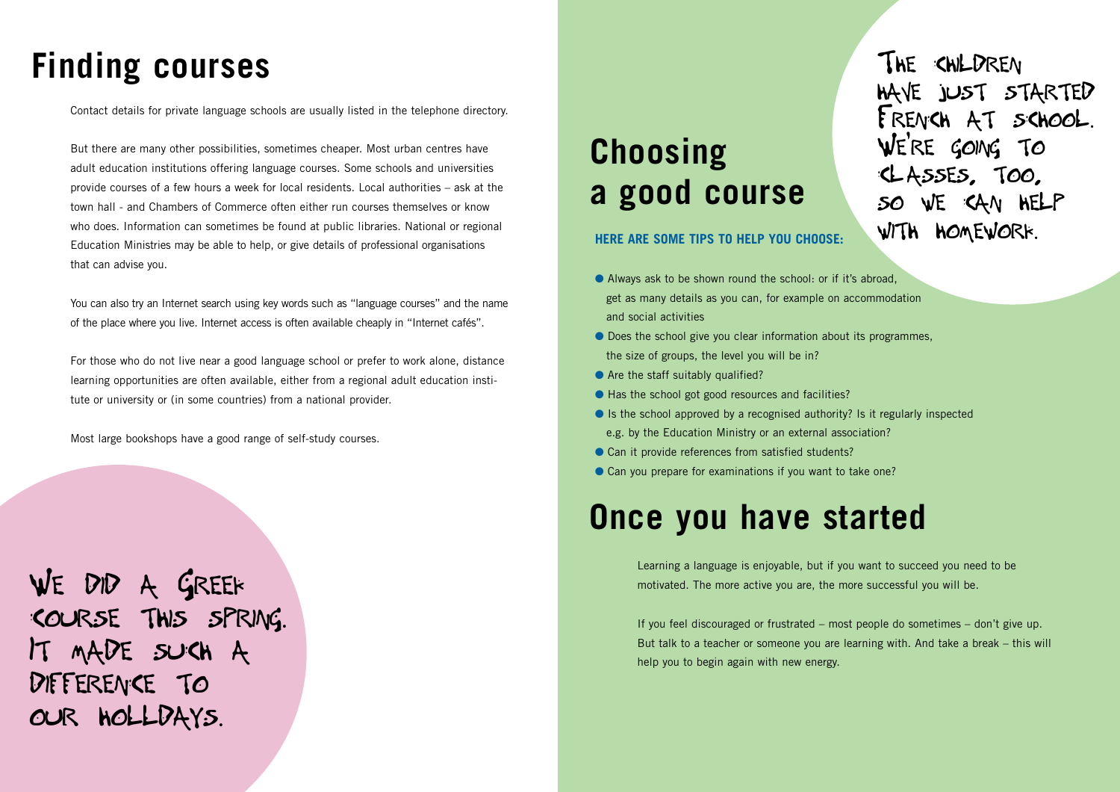## **Finding courses**

Contact details for private language schools are usually listed in the telephone directory.

But there are many other possibilities, sometimes cheaper. Most urban centres have adult education institutions offering language courses. Some schools and universities provide courses of a few hours a week for local residents. Local authorities – ask at the town hall - and Chambers of Commerce often either run courses themselves or know who does. Information can sometimes be found at public libraries. National or regional Education Ministries may be able to help, or give details of professional organisations that can advise you.

You can also try an Internet search using key words such as "language courses" and the name of the place where you live. Internet access is often available cheaply in "Internet cafés".

For those who do not live near a good language school or prefer to work alone, distance learning opportunities are often available, either from a regional adult education institute or university or (in some countries) from a national provider.

Most large bookshops have a good range of self-study courses.

WE DID A GREEK COURSE THIS SPRING. IT MADE SUCH A DIFFERENCE TO OUR HOllDAYS.

## **Choosing a good course**

**HERE ARE SOME TIPS TO HELP YOU CHOOSE:**

- Always ask to be shown round the school: or if it's abroad, get as many details as you can, for example on accommodation and social activities
- Does the school give you clear information about its programmes, the size of groups, the level you will be in?
- Are the staff suitably qualified?
- Has the school got good resources and facilities?
- $\bullet$  Is the school approved by a recognised authority? Is it regularly inspected e.g. by the Education Ministry or an external association?
- Can it provide references from satisfied students?
- Can you prepare for examinations if you want to take one?

## **Once you have started**

Learning a language is enjoyable, but if you want to succeed you need to be motivated. The more active you are, the more successful you will be.

If you feel discouraged or frustrated – most people do sometimes – don't give up. But talk to a teacher or someone you are learning with. And take a break – this will help you to begin again with new energy.

THE CHILDREN HAVE JUST STARTED FRENCH AT SCHOOl. WE'RE GOING TO ClASSES, TOO, SAN HELP WITH HOMEWORK.